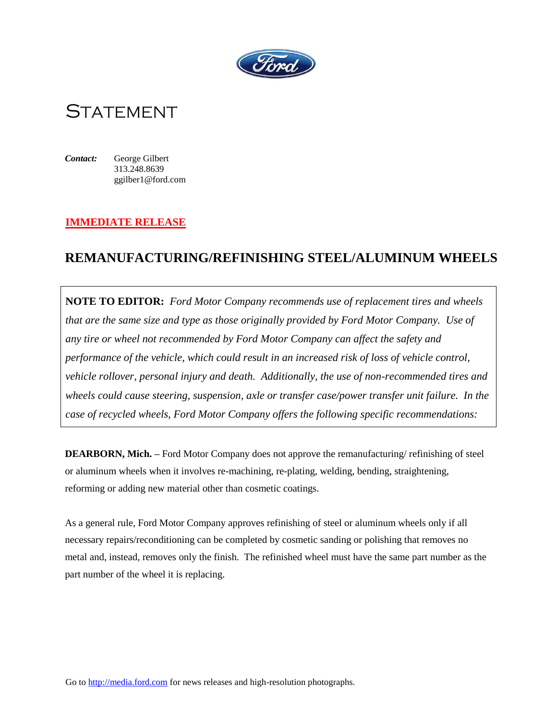

**STATEMENT** 

*Contact:* George Gilbert 313.248.8639 ggilber1@ford.com

## **IMMEDIATE RELEASE**

## **REMANUFACTURING/REFINISHING STEEL/ALUMINUM WHEELS**

**NOTE TO EDITOR:** *Ford Motor Company recommends use of replacement tires and wheels that are the same size and type as those originally provided by Ford Motor Company. Use of any tire or wheel not recommended by Ford Motor Company can affect the safety and performance of the vehicle, which could result in an increased risk of loss of vehicle control, vehicle rollover, personal injury and death. Additionally, the use of non-recommended tires and wheels could cause steering, suspension, axle or transfer case/power transfer unit failure. In the case of recycled wheels, Ford Motor Company offers the following specific recommendations:*

**DEARBORN, Mich. –** Ford Motor Company does not approve the remanufacturing/ refinishing of steel or aluminum wheels when it involves re-machining, re-plating, welding, bending, straightening, reforming or adding new material other than cosmetic coatings.

As a general rule, Ford Motor Company approves refinishing of steel or aluminum wheels only if all necessary repairs/reconditioning can be completed by cosmetic sanding or polishing that removes no metal and, instead, removes only the finish. The refinished wheel must have the same part number as the part number of the wheel it is replacing.